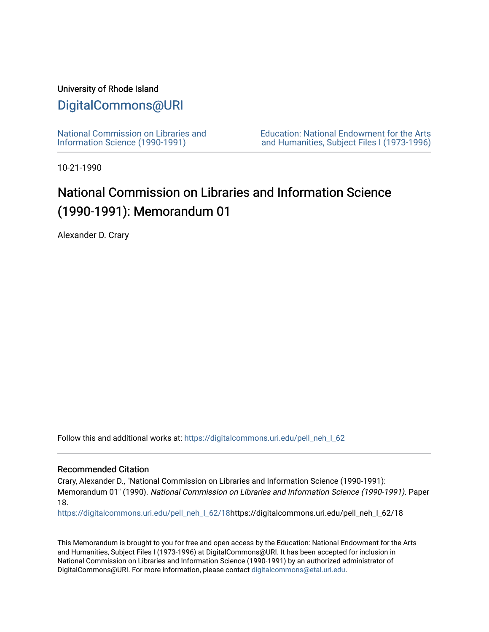### University of Rhode Island

## [DigitalCommons@URI](https://digitalcommons.uri.edu/)

[National Commission on Libraries and](https://digitalcommons.uri.edu/pell_neh_I_62) [Information Science \(1990-1991\)](https://digitalcommons.uri.edu/pell_neh_I_62) 

[Education: National Endowment for the Arts](https://digitalcommons.uri.edu/pell_neh_I)  [and Humanities, Subject Files I \(1973-1996\)](https://digitalcommons.uri.edu/pell_neh_I) 

10-21-1990

# National Commission on Libraries and Information Science (1990-1991): Memorandum 01

Alexander D. Crary

Follow this and additional works at: [https://digitalcommons.uri.edu/pell\\_neh\\_I\\_62](https://digitalcommons.uri.edu/pell_neh_I_62?utm_source=digitalcommons.uri.edu%2Fpell_neh_I_62%2F18&utm_medium=PDF&utm_campaign=PDFCoverPages) 

#### Recommended Citation

Crary, Alexander D., "National Commission on Libraries and Information Science (1990-1991): Memorandum 01" (1990). National Commission on Libraries and Information Science (1990-1991). Paper 18.

[https://digitalcommons.uri.edu/pell\\_neh\\_I\\_62/18h](https://digitalcommons.uri.edu/pell_neh_I_62/18?utm_source=digitalcommons.uri.edu%2Fpell_neh_I_62%2F18&utm_medium=PDF&utm_campaign=PDFCoverPages)ttps://digitalcommons.uri.edu/pell\_neh\_I\_62/18

This Memorandum is brought to you for free and open access by the Education: National Endowment for the Arts and Humanities, Subject Files I (1973-1996) at DigitalCommons@URI. It has been accepted for inclusion in National Commission on Libraries and Information Science (1990-1991) by an authorized administrator of DigitalCommons@URI. For more information, please contact [digitalcommons@etal.uri.edu.](mailto:digitalcommons@etal.uri.edu)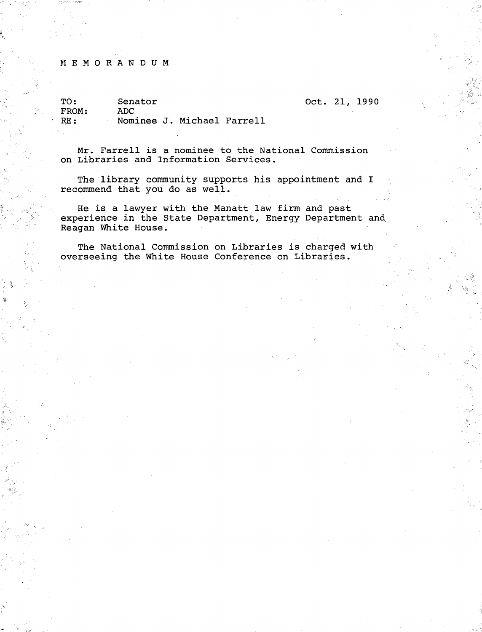#### M E M 0 R A N D U M

 $\mathbb{R}^{2n}$ 

.. • ...

TO: FROM: RE: Senator ADC Nominee J. Michael Farrell

Mr. Farrell is a nominee to the National Commission on Libraries and Information Services.

Oct. 21, 1990

 $\sim$ 

The library community supports his appointment and I recommend that you do as well.

He is a lawyer with the Manatt law firm and past experience in the State Department, Energy Department and. Reagan White House.

The National Commission on Libraries is charged with overseeing the White House Conference on Libraries •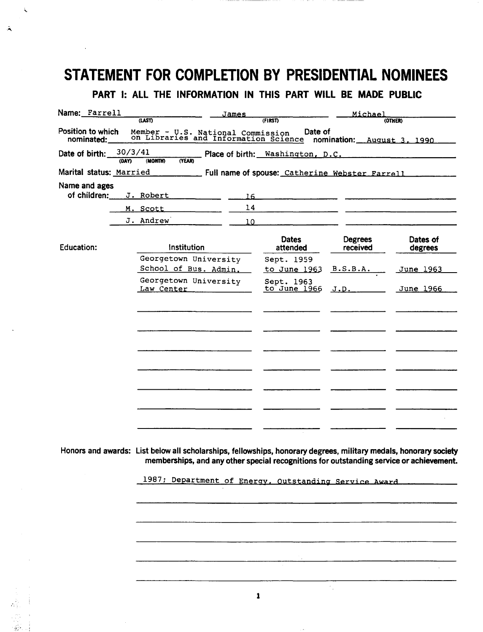# STATEMENT FOR COMPLETION BY PRESIDENTIAL NOMINEES

 $\ddot{\phantom{0}}$ 

 $\ddot{ }$ 

## PART I: ALL THE INFORMATION IN THIS PART WILL BE MADE PUBLIC

| Name: Farrell                | <u>James</u>                                                                                                                                                                                                |                            | Michael                    |                                                                                                                       |
|------------------------------|-------------------------------------------------------------------------------------------------------------------------------------------------------------------------------------------------------------|----------------------------|----------------------------|-----------------------------------------------------------------------------------------------------------------------|
| Position to which            | <b>(LAST)</b>                                                                                                                                                                                               | (FIRST)                    |                            | (OTHER)                                                                                                               |
| nominated:                   | Member - U.S. National Commission Date of<br>on Libraries and Information Science nomination: August 3, 1990                                                                                                |                            |                            |                                                                                                                       |
| Date of birth:<br><b>YAO</b> | 30/3/41<br>(MONTH)<br><b>CYEARD</b>                                                                                                                                                                         |                            |                            |                                                                                                                       |
|                              |                                                                                                                                                                                                             |                            |                            |                                                                                                                       |
| Name and ages                |                                                                                                                                                                                                             |                            |                            |                                                                                                                       |
| of children:                 | J. Robert<br>16                                                                                                                                                                                             |                            |                            | <u> 1980 - Jan Barristo, prima de la provincia de la provincia de la provincia de la provincia de la provincia de</u> |
|                              | 14<br>M. Scott                                                                                                                                                                                              |                            |                            |                                                                                                                       |
|                              | J. Andrew<br>10                                                                                                                                                                                             |                            |                            |                                                                                                                       |
| <b>Education:</b>            | Institution                                                                                                                                                                                                 | <b>Dates</b><br>attended   | <b>Degrees</b><br>received | Dates of<br>degrees                                                                                                   |
|                              | Georgetown University<br>School of Bus. Admin.                                                                                                                                                              | Sept. 1959<br>to June 1963 | B.S.B.A.                   | June 1963                                                                                                             |
|                              | Georgetown University<br>Law Center Theory                                                                                                                                                                  | Sept. 1963<br>to June 1966 | J.D.                       | June 1966                                                                                                             |
|                              |                                                                                                                                                                                                             |                            |                            |                                                                                                                       |
|                              |                                                                                                                                                                                                             |                            |                            |                                                                                                                       |
|                              |                                                                                                                                                                                                             |                            |                            |                                                                                                                       |
|                              |                                                                                                                                                                                                             |                            |                            |                                                                                                                       |
|                              |                                                                                                                                                                                                             |                            |                            |                                                                                                                       |
|                              |                                                                                                                                                                                                             |                            |                            |                                                                                                                       |
|                              |                                                                                                                                                                                                             |                            |                            |                                                                                                                       |
|                              |                                                                                                                                                                                                             |                            |                            |                                                                                                                       |
|                              |                                                                                                                                                                                                             |                            |                            |                                                                                                                       |
|                              |                                                                                                                                                                                                             |                            |                            |                                                                                                                       |
|                              | Honors and awards: List below all scholarships, fellowships, honorary degrees, military medals, honorary society<br>memberships, and any other special recognitions for outstanding service or achievement. |                            |                            |                                                                                                                       |
|                              | 1987; Department of Energy, Outstanding Service Award                                                                                                                                                       |                            |                            |                                                                                                                       |
|                              |                                                                                                                                                                                                             |                            |                            |                                                                                                                       |
|                              |                                                                                                                                                                                                             |                            |                            |                                                                                                                       |
|                              |                                                                                                                                                                                                             |                            |                            |                                                                                                                       |
|                              |                                                                                                                                                                                                             |                            |                            |                                                                                                                       |
|                              |                                                                                                                                                                                                             |                            |                            |                                                                                                                       |
|                              |                                                                                                                                                                                                             |                            |                            |                                                                                                                       |
|                              |                                                                                                                                                                                                             |                            |                            |                                                                                                                       |
|                              |                                                                                                                                                                                                             | 1                          |                            |                                                                                                                       |
|                              |                                                                                                                                                                                                             |                            |                            |                                                                                                                       |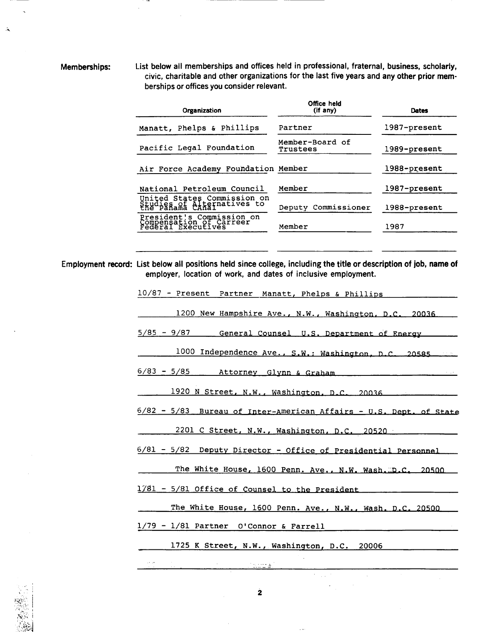.~

Memberships: List below all memberships and offices held in professional, fraternal, business, scholarly, civic, charitable and other organizations for the last five years and any other prior mem· berships or offices you consider relevant.

| Organization                                                               | Office held<br>$(if$ any)   | Dates        |
|----------------------------------------------------------------------------|-----------------------------|--------------|
| Manatt, Phelps & Phillips                                                  | Partner                     | 1987-present |
| Pacific Legal Foundation                                                   | Member-Board of<br>Trustees | 1989-present |
| Air Force Academy Foundation Member                                        |                             | 1988-present |
| National Petroleum Council                                                 | Member                      | 1987-present |
| United States Commission on<br>Studies of Alternatives to                  | Deputy Commissioner         | 1988-present |
| President's Commission on<br>Compensation of Carreer<br>Federal Executives | Member                      | 1987         |

Employment record: List below all positions held since college, including the title or description of job, name of employer, location of work, and dates of inclusive employment.

2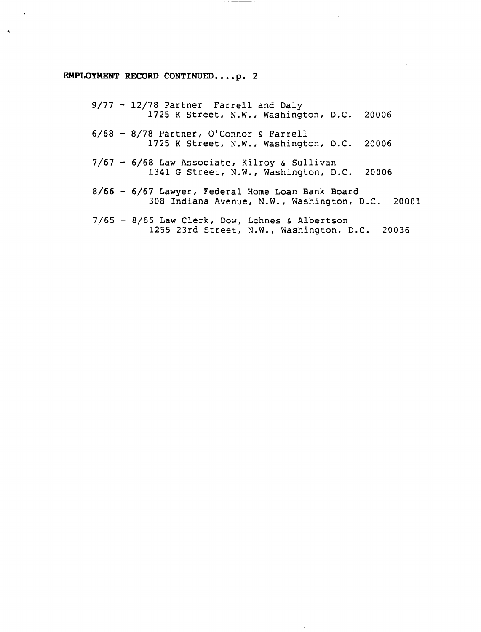#### EMPLOYMENT RECORD CONTINUED....p. 2

 $\Lambda$ 

9/77 - 12/78 Partner Farrell and Daly 1725 K Street, N.W., Washington, D.C. 20006 6/68 - 8/78 Partner, O'Connor & Farrell 1725 K Street, N.W., Washington, D.C. 20006 7/67 - 6/68 Law Associate, Kilroy & Sullivan 1341 G Street, N.W., Washington, D.C. 20006 8/66 - 6/67 Lawyer, Federal Home Loan Bank Board 308 Indiana Avenue, N.W., Washington, D.C. 20001 7/65 - 8/66 Law Clerk, Dow, Lohnes & Albertson 1255 23rd Street, N.W., Washington, D.C. 20036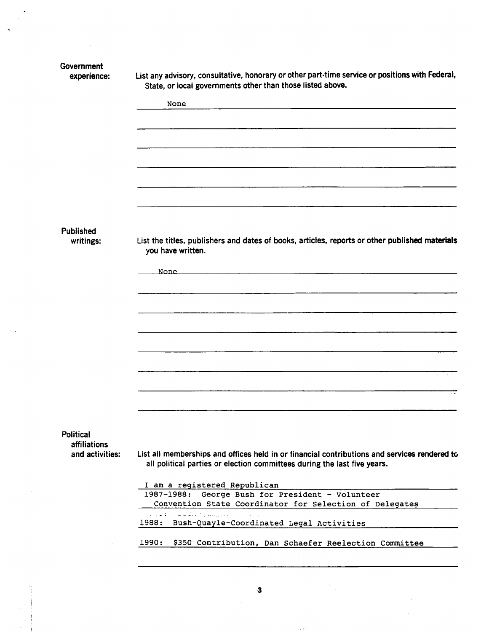|                                 | State, or local governments other than those listed above.                                                                                                              |
|---------------------------------|-------------------------------------------------------------------------------------------------------------------------------------------------------------------------|
|                                 | None                                                                                                                                                                    |
|                                 |                                                                                                                                                                         |
|                                 |                                                                                                                                                                         |
|                                 |                                                                                                                                                                         |
|                                 |                                                                                                                                                                         |
|                                 |                                                                                                                                                                         |
|                                 |                                                                                                                                                                         |
| Published                       |                                                                                                                                                                         |
| writings:                       | List the titles, publishers and dates of books, articles, reports or other published materials<br>you have written.                                                     |
|                                 | None<br>and the control of the control of the control of the control of the control of the control of the control of th                                                 |
|                                 |                                                                                                                                                                         |
|                                 |                                                                                                                                                                         |
|                                 |                                                                                                                                                                         |
|                                 |                                                                                                                                                                         |
|                                 |                                                                                                                                                                         |
|                                 |                                                                                                                                                                         |
|                                 |                                                                                                                                                                         |
|                                 |                                                                                                                                                                         |
|                                 |                                                                                                                                                                         |
|                                 |                                                                                                                                                                         |
|                                 |                                                                                                                                                                         |
|                                 |                                                                                                                                                                         |
| affiliations<br>and activities: |                                                                                                                                                                         |
|                                 | all political parties or election committees during the last five years.                                                                                                |
|                                 |                                                                                                                                                                         |
|                                 | I am a registered Republican                                                                                                                                            |
|                                 | 1987-1988: George Bush for President - Volunteer<br>Convention State Coordinator for Selection of Delegates                                                             |
| Political                       | List all memberships and offices held in or financial contributions and services rendered to<br>a ad Britannia d'Alba<br>1988: Bush-Quayle-Coordinated Legal Activities |

3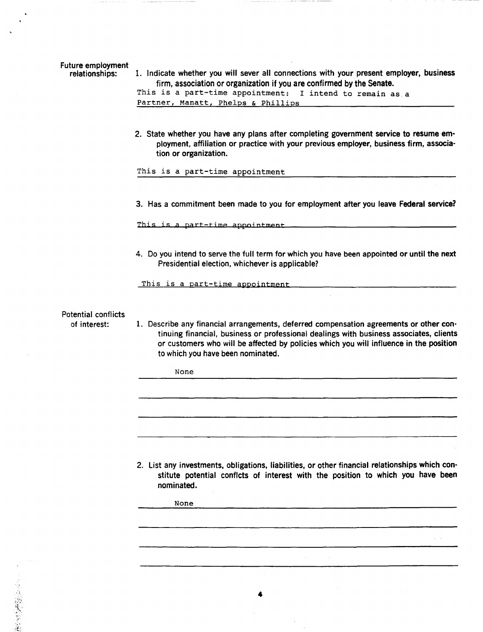|  | relationships: |  |  |
|--|----------------|--|--|
|--|----------------|--|--|

1. Indicate whether you will sever all connections with your present employer, business firm, association or organization if you are confirmed by the Senate.

This is a part-time appointment: I intend to remain as a Partner, Manatt, Phelps & Phillips

2. State whether you have any plans after completing government service to resume em· ployment, affiliation or practice with your previous employer, business firm, associa· tion or organization.

This is a part-time appointment

3. Has a commitment been made to you for employment after you leave Federal service?

This is a part-time appointment.

4. Do you intend to serve the full term for which you have been appointed or until the next Presidential election, whichever is applicable?

This is a part-time appointment

Potential conflicts

of interest:

 $\mathcal{L}$ 

1. Describe any financial arrangements, deferred compensation agreements or other con· tinuing financial, business or professional dealings with business associates, clients or customers who will be affected by policies which you will influence in the position to which you have been nominated.

None

2. List any investments, obligations, liabilities, or other financial relationships which con· stitute potential conflcts of interest with the position to which you have been nominated.

None